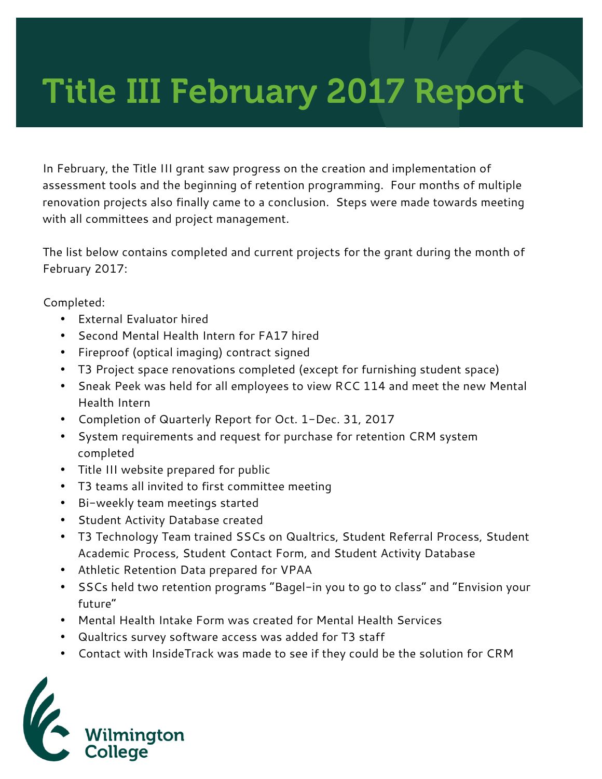## Title III February 2017 Report

In February, the Title III grant saw progress on the creation and implementation of assessment tools and the beginning of retention programming. Four months of multiple renovation projects also finally came to a conclusion. Steps were made towards meeting with all committees and project management.

The list below contains completed and current projects for the grant during the month of February 2017:

Completed:

- External Evaluator hired
- Second Mental Health Intern for FA17 hired
- Fireproof (optical imaging) contract signed
- T3 Project space renovations completed (except for furnishing student space)
- Sneak Peek was held for all employees to view RCC 114 and meet the new Mental Health Intern
- Completion of Quarterly Report for Oct. 1-Dec. 31, 2017
- System requirements and request for purchase for retention CRM system completed
- Title III website prepared for public
- T3 teams all invited to first committee meeting
- Bi-weekly team meetings started
- Student Activity Database created
- T3 Technology Team trained SSCs on Qualtrics, Student Referral Process, Student Academic Process, Student Contact Form, and Student Activity Database
- Athletic Retention Data prepared for VPAA
- SSCs held two retention programs "Bagel-in you to go to class" and "Envision your future"
- Mental Health Intake Form was created for Mental Health Services
- Qualtrics survey software access was added for T3 staff
- Contact with InsideTrack was made to see if they could be the solution for CRM